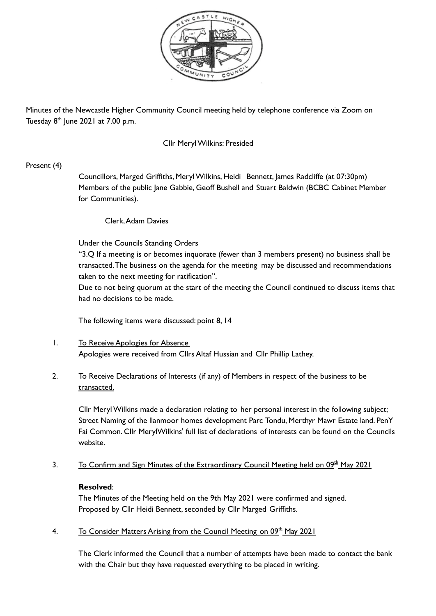

Minutes of the Newcastle Higher Community Council meeting held by telephone conference via Zoom on Tuesday 8<sup>th</sup> June 2021 at 7.00 p.m.

#### Cllr MerylWilkins: Presided

### Present (4)

Councillors, Marged Griffiths, MerylWilkins, Heidi Bennett, James Radcliffe (at 07:30pm) Members of the public Jane Gabbie, Geoff Bushell and Stuart Baldwin (BCBC Cabinet Member for Communities).

### Clerk,Adam Davies

Under the Councils Standing Orders

"3.Q If a meeting is or becomes inquorate (fewer than 3 members present) no business shall be transacted.The business on the agenda for the meeting may be discussed and recommendations taken to the next meeting for ratification".

Due to not being quorum at the start of the meeting the Council continued to discuss items that had no decisions to be made.

The following items were discussed: point 8, 14

1. To Receive Apologies for Absence Apologies were received from Cllrs Altaf Hussian and Cllr Phillip Lathey.

# 2. To Receive Declarations of Interests (if any) of Members in respect of the business to be transacted.

Cllr MerylWilkins made a declaration relating to her personal interest in the following subject; Street Naming of the llanmoor homes development Parc Tondu, Merthyr Mawr Estate land. PenY Fai Common. Cllr MerylWilkins' full list of declarations of interests can be found on the Councils website.

3. To Confirm and Sign Minutes of the Extraordinary Council Meeting held on 09<sup>th</sup> May 2021

### **Resolved**:

The Minutes of the Meeting held on the 9th May 2021 were confirmed and signed. Proposed by Cllr Heidi Bennett, seconded by Cllr Marged Griffiths.

4. To Consider Matters Arising from the Council Meeting on 09<sup>th</sup> May 2021

The Clerk informed the Council that a number of attempts have been made to contact the bank with the Chair but they have requested everything to be placed in writing.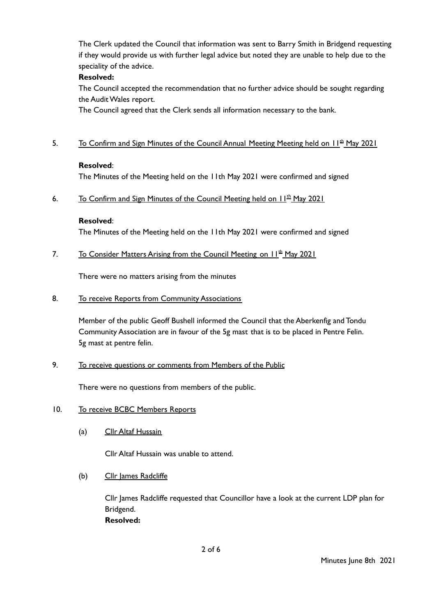The Clerk updated the Council that information was sent to Barry Smith in Bridgend requesting if they would provide us with further legal advice but noted they are unable to help due to the speciality of the advice.

### **Resolved:**

The Council accepted the recommendation that no further advice should be sought regarding the Audit Wales report.

The Council agreed that the Clerk sends all information necessary to the bank.

## 5. To Confirm and Sign Minutes of the Council Annual Meeting Meeting held on 11<sup>th</sup> May 2021

#### **Resolved**:

The Minutes of the Meeting held on the 11th May 2021 were confirmed and signed

6. To Confirm and Sign Minutes of the Council Meeting held on  $11^{\underline{th}}$  May 2021

### **Resolved**:

The Minutes of the Meeting held on the 11th May 2021 were confirmed and signed

7. To Consider Matters Arising from the Council Meeting on 11<sup>th</sup> May 2021

There were no matters arising from the minutes

8. To receive Reports from Community Associations

Member of the public Geoff Bushell informed the Council that the Aberkenfig and Tondu Community Association are in favour of the 5g mast that is to be placed in Pentre Felin. 5g mast at pentre felin.

9. To receive questions or comments from Members of the Public

There were no questions from members of the public.

- 10. To receive BCBC Members Reports
	- (a) Cllr Altaf Hussain

Cllr Altaf Hussain was unable to attend.

(b) Cllr James Radcliffe

Cllr James Radcliffe requested that Councillor have a look at the current LDP plan for Bridgend. **Resolved:**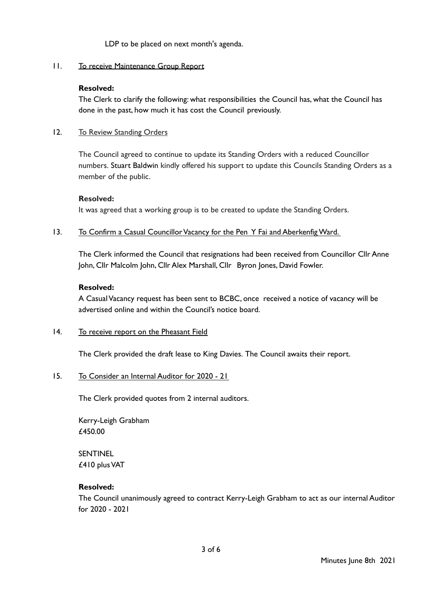LDP to be placed on next month's agenda.

#### 11. To receive Maintenance Group Report

#### **Resolved:**

The Clerk to clarify the following: what responsibilities the Council has, what the Council has done in the past, how much it has cost the Council previously.

#### 12. To Review Standing Orders

The Council agreed to continue to update its Standing Orders with a reduced Councillor numbers. Stuart Baldwin kindly offered his support to update this Councils Standing Orders as a member of the public.

#### **Resolved:**

It was agreed that a working group is to be created to update the Standing Orders.

#### 13. To Confirm a Casual Councillor Vacancy for the Pen Y Fai and Aberkenfig Ward.

The Clerk informed the Council that resignations had been received from Councillor Cllr Anne John, Cllr Malcolm John, Cllr Alex Marshall, Cllr Byron Jones, David Fowler.

#### **Resolved:**

A CasualVacancy request has been sent to BCBC, once received a notice of vacancy will be advertised online and within the Council's notice board.

### 14. To receive report on the Pheasant Field

The Clerk provided the draft lease to King Davies. The Council awaits their report.

### 15. To Consider an Internal Auditor for 2020 - 21

The Clerk provided quotes from 2 internal auditors.

Kerry-Leigh Grabham £450.00

SENTINEL £410 plusVAT

### **Resolved:**

The Council unanimously agreed to contract Kerry-Leigh Grabham to act as our internal Auditor for 2020 - 2021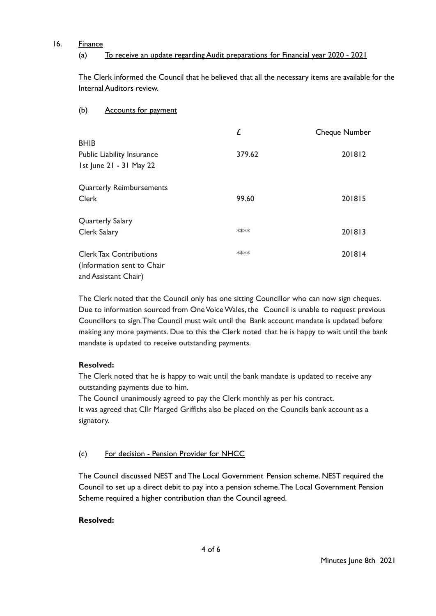### 16. Finance

# (a) To receive an update regarding Audit preparations for Financial year 2020 - 2021

The Clerk informed the Council that he believed that all the necessary items are available for the Internal Auditors review.

# (b) Accounts for payment

|                                   | £      | Cheque Number |
|-----------------------------------|--------|---------------|
| <b>BHIB</b>                       |        |               |
| <b>Public Liability Insurance</b> | 379.62 | 201812        |
| 1st June 21 - 31 May 22           |        |               |
| <b>Quarterly Reimbursements</b>   |        |               |
| <b>Clerk</b>                      | 99.60  | 201815        |
| Quarterly Salary                  |        |               |
| Clerk Salary                      | ****   | 201813        |
| <b>Clerk Tax Contributions</b>    | ****   | 201814        |
| (Information sent to Chair        |        |               |
| and Assistant Chair)              |        |               |

The Clerk noted that the Council only has one sitting Councillor who can now sign cheques. Due to information sourced from One Voice Wales, the Council is unable to request previous Councillors to sign.The Council must wait until the Bank account mandate is updated before making any more payments. Due to this the Clerk noted that he is happy to wait until the bank mandate is updated to receive outstanding payments.

# **Resolved:**

The Clerk noted that he is happy to wait until the bank mandate is updated to receive any outstanding payments due to him.

The Council unanimously agreed to pay the Clerk monthly as per his contract. It was agreed that Cllr Marged Griffiths also be placed on the Councils bank account as a signatory.

# (c) For decision - Pension Provider for NHCC

The Council discussed NEST and The Local Government Pension scheme. NEST required the Council to set up a direct debit to pay into a pension scheme.The Local Government Pension Scheme required a higher contribution than the Council agreed.

# **Resolved:**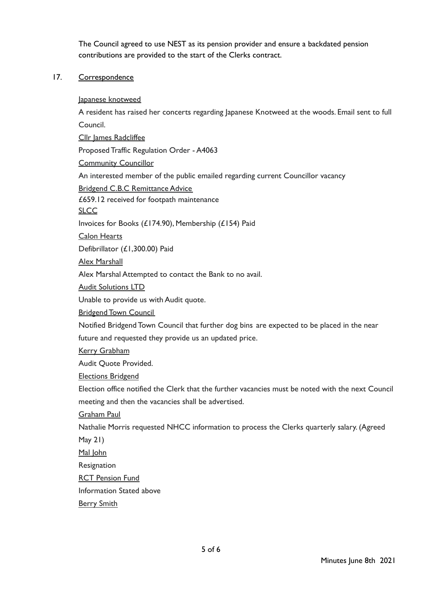The Council agreed to use NEST as its pension provider and ensure a backdated pension contributions are provided to the start of the Clerks contract.

### 17. Correspondence

Japanese knotweed

A resident has raised her concerts regarding Japanese Knotweed at the woods. Email sent to full Council.

Cllr James Radcliffee

Proposed Traffic Regulation Order - A4063

**Community Councillor** 

An interested member of the public emailed regarding current Councillor vacancy

Bridgend C.B.C Remittance Advice

£659.12 received for footpath maintenance

**SLCC** 

Invoices for Books (£174.90), Membership (£154) Paid

Calon Hearts

Defibrillator (£1,300.00) Paid

Alex Marshall

Alex Marshal Attempted to contact the Bank to no avail.

Audit Solutions LTD

Unable to provide us with Audit quote.

Bridgend Town Council

Notified Bridgend Town Council that further dog bins are expected to be placed in the near

future and requested they provide us an updated price.

Kerry Grabham

Audit Quote Provided.

Elections Bridgend

Election office notified the Clerk that the further vacancies must be noted with the next Council meeting and then the vacancies shall be advertised.

Graham Paul

Nathalie Morris requested NHCC information to process the Clerks quarterly salary. (Agreed

May 21)

Mal John

**Resignation** 

RCT Pension Fund

Information Stated above

Berry Smith